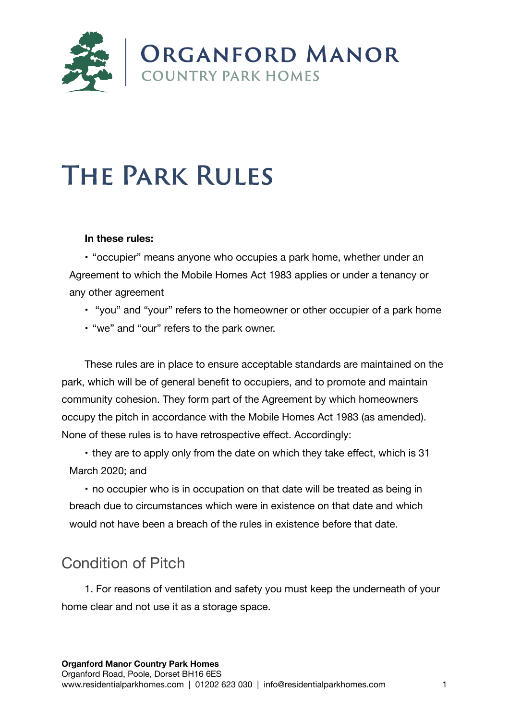

# **The Park Rules**

#### **In these rules:**

• "occupier" means anyone who occupies a park home, whether under an Agreement to which the Mobile Homes Act 1983 applies or under a tenancy or any other agreement

- "you" and "your" refers to the homeowner or other occupier of a park home
- "we" and "our" refers to the park owner.

These rules are in place to ensure acceptable standards are maintained on the park, which will be of general benefit to occupiers, and to promote and maintain community cohesion. They form part of the Agreement by which homeowners occupy the pitch in accordance with the Mobile Homes Act 1983 (as amended). None of these rules is to have retrospective effect. Accordingly:

• they are to apply only from the date on which they take effect, which is 31 March 2020; and

• no occupier who is in occupation on that date will be treated as being in breach due to circumstances which were in existence on that date and which would not have been a breach of the rules in existence before that date.

# Condition of Pitch

1. For reasons of ventilation and safety you must keep the underneath of your home clear and not use it as a storage space.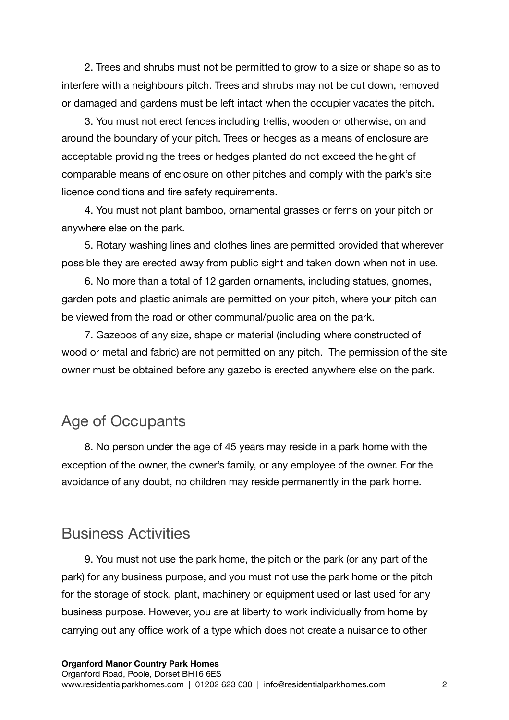2. Trees and shrubs must not be permitted to grow to a size or shape so as to interfere with a neighbours pitch. Trees and shrubs may not be cut down, removed or damaged and gardens must be left intact when the occupier vacates the pitch.

3. You must not erect fences including trellis, wooden or otherwise, on and around the boundary of your pitch. Trees or hedges as a means of enclosure are acceptable providing the trees or hedges planted do not exceed the height of comparable means of enclosure on other pitches and comply with the park's site licence conditions and fire safety requirements.

4. You must not plant bamboo, ornamental grasses or ferns on your pitch or anywhere else on the park.

5. Rotary washing lines and clothes lines are permitted provided that wherever possible they are erected away from public sight and taken down when not in use.

6. No more than a total of 12 garden ornaments, including statues, gnomes, garden pots and plastic animals are permitted on your pitch, where your pitch can be viewed from the road or other communal/public area on the park.

7. Gazebos of any size, shape or material (including where constructed of wood or metal and fabric) are not permitted on any pitch. The permission of the site owner must be obtained before any gazebo is erected anywhere else on the park.

# Age of Occupants

8. No person under the age of 45 years may reside in a park home with the exception of the owner, the owner's family, or any employee of the owner. For the avoidance of any doubt, no children may reside permanently in the park home.

# Business Activities

9. You must not use the park home, the pitch or the park (or any part of the park) for any business purpose, and you must not use the park home or the pitch for the storage of stock, plant, machinery or equipment used or last used for any business purpose. However, you are at liberty to work individually from home by carrying out any office work of a type which does not create a nuisance to other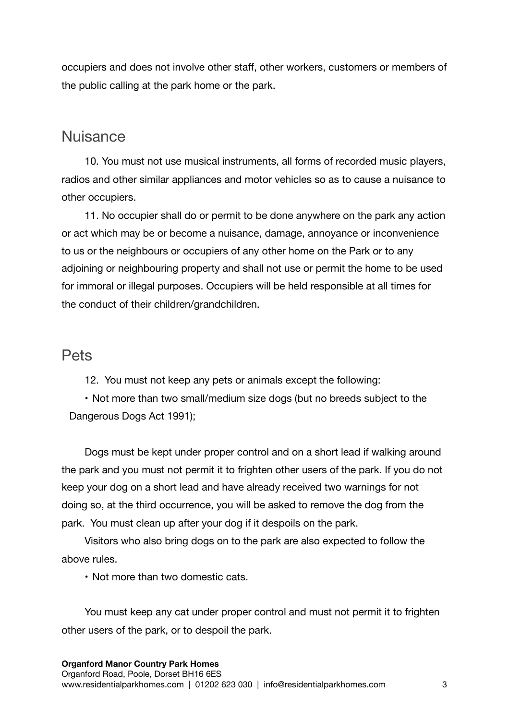occupiers and does not involve other staff, other workers, customers or members of the public calling at the park home or the park.

#### **Nuisance**

10. You must not use musical instruments, all forms of recorded music players, radios and other similar appliances and motor vehicles so as to cause a nuisance to other occupiers.

11. No occupier shall do or permit to be done anywhere on the park any action or act which may be or become a nuisance, damage, annoyance or inconvenience to us or the neighbours or occupiers of any other home on the Park or to any adjoining or neighbouring property and shall not use or permit the home to be used for immoral or illegal purposes. Occupiers will be held responsible at all times for the conduct of their children/grandchildren.

#### Pets

12. You must not keep any pets or animals except the following:

• Not more than two small/medium size dogs (but no breeds subject to the Dangerous Dogs Act 1991);

Dogs must be kept under proper control and on a short lead if walking around the park and you must not permit it to frighten other users of the park. If you do not keep your dog on a short lead and have already received two warnings for not doing so, at the third occurrence, you will be asked to remove the dog from the park. You must clean up after your dog if it despoils on the park.

Visitors who also bring dogs on to the park are also expected to follow the above rules.

• Not more than two domestic cats.

You must keep any cat under proper control and must not permit it to frighten other users of the park, or to despoil the park.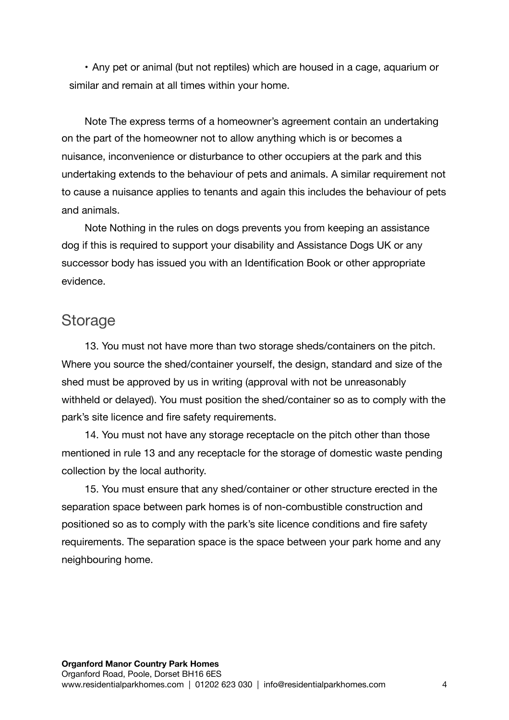• Any pet or animal (but not reptiles) which are housed in a cage, aquarium or similar and remain at all times within your home.

Note The express terms of a homeowner's agreement contain an undertaking on the part of the homeowner not to allow anything which is or becomes a nuisance, inconvenience or disturbance to other occupiers at the park and this undertaking extends to the behaviour of pets and animals. A similar requirement not to cause a nuisance applies to tenants and again this includes the behaviour of pets and animals.

Note Nothing in the rules on dogs prevents you from keeping an assistance dog if this is required to support your disability and Assistance Dogs UK or any successor body has issued you with an Identification Book or other appropriate evidence.

## Storage

13. You must not have more than two storage sheds/containers on the pitch. Where you source the shed/container yourself, the design, standard and size of the shed must be approved by us in writing (approval with not be unreasonably withheld or delayed). You must position the shed/container so as to comply with the park's site licence and fire safety requirements.

14. You must not have any storage receptacle on the pitch other than those mentioned in rule 13 and any receptacle for the storage of domestic waste pending collection by the local authority.

15. You must ensure that any shed/container or other structure erected in the separation space between park homes is of non-combustible construction and positioned so as to comply with the park's site licence conditions and fire safety requirements. The separation space is the space between your park home and any neighbouring home.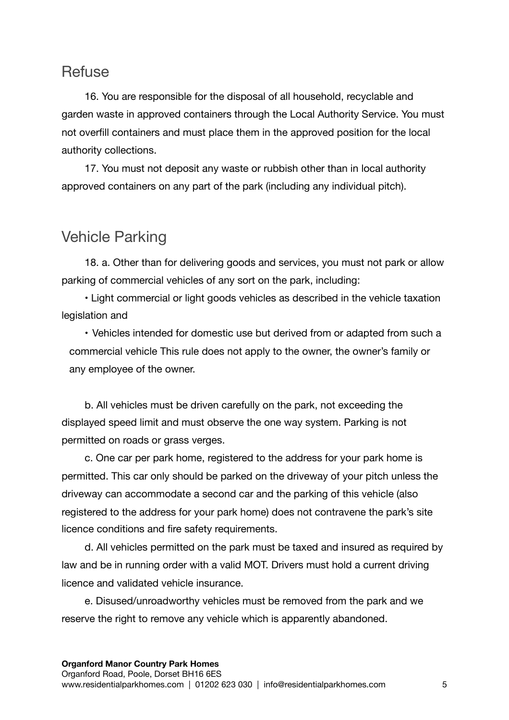### **Refuse**

16. You are responsible for the disposal of all household, recyclable and garden waste in approved containers through the Local Authority Service. You must not overfill containers and must place them in the approved position for the local authority collections.

17. You must not deposit any waste or rubbish other than in local authority approved containers on any part of the park (including any individual pitch).

# Vehicle Parking

18. a. Other than for delivering goods and services, you must not park or allow parking of commercial vehicles of any sort on the park, including:

• Light commercial or light goods vehicles as described in the vehicle taxation legislation and

• Vehicles intended for domestic use but derived from or adapted from such a commercial vehicle This rule does not apply to the owner, the owner's family or any employee of the owner.

b. All vehicles must be driven carefully on the park, not exceeding the displayed speed limit and must observe the one way system. Parking is not permitted on roads or grass verges.

c. One car per park home, registered to the address for your park home is permitted. This car only should be parked on the driveway of your pitch unless the driveway can accommodate a second car and the parking of this vehicle (also registered to the address for your park home) does not contravene the park's site licence conditions and fire safety requirements.

d. All vehicles permitted on the park must be taxed and insured as required by law and be in running order with a valid MOT. Drivers must hold a current driving licence and validated vehicle insurance.

e. Disused/unroadworthy vehicles must be removed from the park and we reserve the right to remove any vehicle which is apparently abandoned.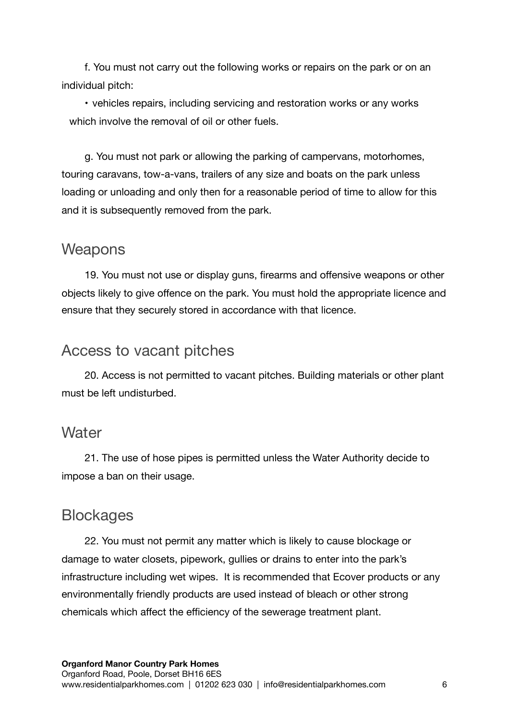f. You must not carry out the following works or repairs on the park or on an individual pitch:

• vehicles repairs, including servicing and restoration works or any works which involve the removal of oil or other fuels.

g. You must not park or allowing the parking of campervans, motorhomes, touring caravans, tow-a-vans, trailers of any size and boats on the park unless loading or unloading and only then for a reasonable period of time to allow for this and it is subsequently removed from the park.

#### **Weapons**

19. You must not use or display guns, firearms and offensive weapons or other objects likely to give offence on the park. You must hold the appropriate licence and ensure that they securely stored in accordance with that licence.

#### Access to vacant pitches

20. Access is not permitted to vacant pitches. Building materials or other plant must be left undisturbed.

#### **Water**

21. The use of hose pipes is permitted unless the Water Authority decide to impose a ban on their usage.

## **Blockages**

22. You must not permit any matter which is likely to cause blockage or damage to water closets, pipework, gullies or drains to enter into the park's infrastructure including wet wipes. It is recommended that Ecover products or any environmentally friendly products are used instead of bleach or other strong chemicals which affect the efficiency of the sewerage treatment plant.